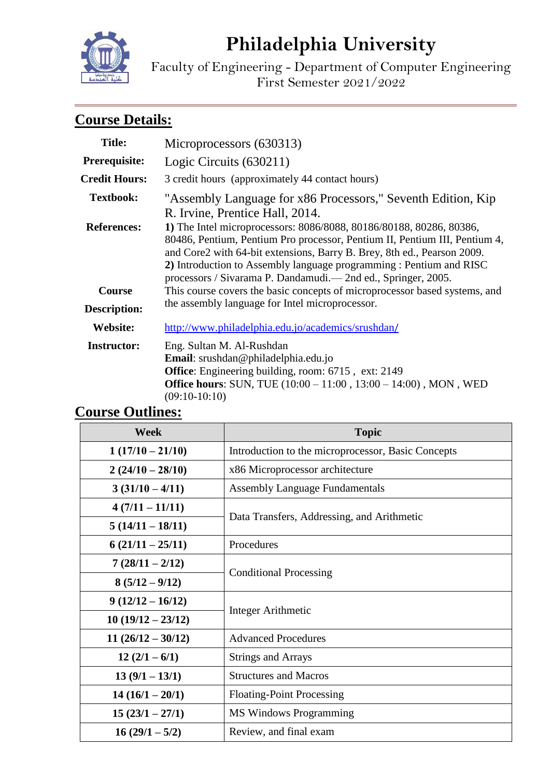# **Philadelphia University**



Faculty of Engineering - Department of Computer Engineering First Semester 2021/2022

## **Course Details:**

| <b>Title:</b>        | Microprocessors (630313)                                                                                                                                                                                                     |  |
|----------------------|------------------------------------------------------------------------------------------------------------------------------------------------------------------------------------------------------------------------------|--|
| Prerequisite:        | Logic Circuits (630211)                                                                                                                                                                                                      |  |
| <b>Credit Hours:</b> | 3 credit hours (approximately 44 contact hours)                                                                                                                                                                              |  |
| <b>Textbook:</b>     | "Assembly Language for x86 Processors," Seventh Edition, Kip<br>R. Irvine, Prentice Hall, 2014.                                                                                                                              |  |
| <b>References:</b>   | 1) The Intel microprocessors: 8086/8088, 80186/80188, 80286, 80386,<br>80486, Pentium, Pentium Pro processor, Pentium II, Pentium III, Pentium 4,<br>and Core2 with 64-bit extensions, Barry B. Brey, 8th ed., Pearson 2009. |  |
|                      | 2) Introduction to Assembly language programming : Pentium and RISC<br>processors / Sivarama P. Dandamudi.— 2nd ed., Springer, 2005.                                                                                         |  |
| <b>Course</b>        | This course covers the basic concepts of microprocessor based systems, and                                                                                                                                                   |  |
| <b>Description:</b>  | the assembly language for Intel microprocessor.                                                                                                                                                                              |  |
| Website:             | http://www.philadelphia.edu.jo/academics/srushdan/                                                                                                                                                                           |  |
| <b>Instructor:</b>   | Eng. Sultan M. Al-Rushdan<br>Email: srushdan@philadelphia.edu.jo<br><b>Office:</b> Engineering building, room: 6715, ext: 2149<br><b>Office hours:</b> SUN, TUE (10:00 – 11:00, 13:00 – 14:00), MON, WED<br>$(09:10-10:10)$  |  |

## **Course Outlines:**

| <b>Week</b>         | <b>Topic</b>                                       |  |
|---------------------|----------------------------------------------------|--|
| $1(17/10-21/10)$    | Introduction to the microprocessor, Basic Concepts |  |
| $2(24/10-28/10)$    | x86 Microprocessor architecture                    |  |
| $3(31/10-4/11)$     | <b>Assembly Language Fundamentals</b>              |  |
| $4(7/11-11/11)$     |                                                    |  |
| $5(14/11-18/11)$    | Data Transfers, Addressing, and Arithmetic         |  |
| $6(21/11-25/11)$    | Procedures                                         |  |
| $7(28/11-2/12)$     |                                                    |  |
| $8(5/12-9/12)$      | <b>Conditional Processing</b>                      |  |
| $9(12/12 - 16/12)$  | <b>Integer Arithmetic</b>                          |  |
| $10(19/12 - 23/12)$ |                                                    |  |
| $11(26/12-30/12)$   | <b>Advanced Procedures</b>                         |  |
| $12(2/1-6/1)$       | <b>Strings and Arrays</b>                          |  |
| $13(9/1 - 13/1)$    | <b>Structures and Macros</b>                       |  |
| $14(16/1-20/1)$     | <b>Floating-Point Processing</b>                   |  |
| $15(23/1 - 27/1)$   | <b>MS Windows Programming</b>                      |  |
| $16(29/1 - 5/2)$    | Review, and final exam                             |  |